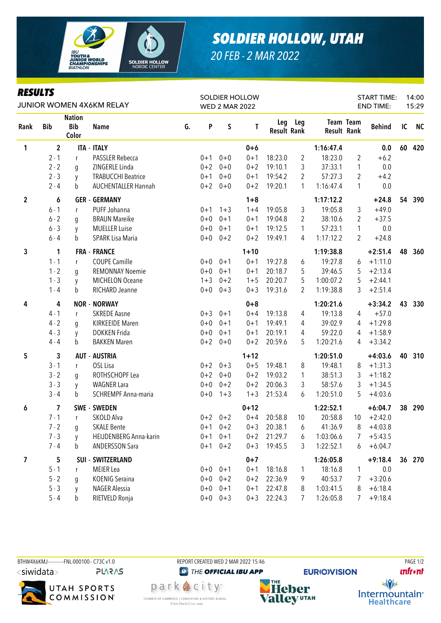

## **SOLDIER HOLLOW, UTAH** 20 FEB - 2 MAR 2022

## **RESULTS**

| <b>RESULTS</b><br>JUNIOR WOMEN 4X6KM RELAY |                |                                      |                            |    | <b>SOLDIER HOLLOW</b><br><b>WED 2 MAR 2022</b> |             |          |                           |                |                                 |                | <b>START TIME:</b><br><b>END TIME:</b> |    | 14:00<br>15:29 |
|--------------------------------------------|----------------|--------------------------------------|----------------------------|----|------------------------------------------------|-------------|----------|---------------------------|----------------|---------------------------------|----------------|----------------------------------------|----|----------------|
| Rank                                       | <b>Bib</b>     | <b>Nation</b><br><b>Bib</b><br>Color | <b>Name</b>                | G. | P                                              | $\sf S$     | T        | Leg<br><b>Result Rank</b> | Leg            | <b>Team Team</b><br>Result Rank |                | <b>Behind</b>                          | IC | <b>NC</b>      |
| $\mathbf{1}$                               | $\overline{2}$ |                                      | <b>ITA - ITALY</b>         |    |                                                |             | $0+6$    |                           |                | 1:16:47.4                       |                | 0.0                                    | 60 | 420            |
|                                            | $2 - 1$        | r                                    | <b>PASSLER Rebecca</b>     |    | $0 + 1$                                        | $0 + 0$     | $0 + 1$  | 18:23.0                   | 2              | 18:23.0                         | $\overline{2}$ | $+6.2$                                 |    |                |
|                                            | $2 - 2$        | g                                    | ZINGERLE Linda             |    | $0 + 2$                                        | $0 + 0$     | $0 + 2$  | 19:10.1                   | 3              | 37:33.1                         | 1              | 0.0                                    |    |                |
|                                            | $2 - 3$        | y                                    | <b>TRABUCCHI Beatrice</b>  |    | $0 + 1$                                        | $0+0$       | $0 + 1$  | 19:54.2                   | 2              | 57:27.3                         | $\overline{2}$ | $+4.2$                                 |    |                |
|                                            | $2 - 4$        | b                                    | <b>AUCHENTALLER Hannah</b> |    | $0 + 2$                                        | $0 + 0$     | $0 + 2$  | 19:20.1                   | 1              | 1:16:47.4                       | 1              | 0.0                                    |    |                |
| $\overline{2}$                             | 6              |                                      | <b>GER - GERMANY</b>       |    |                                                |             | $1 + 8$  |                           |                | 1:17:12.2                       |                | $+24.8$                                | 54 | 390            |
|                                            | $6 - 1$        | r                                    | PUFF Johanna               |    | $0 + 1$                                        | $1 + 3$     | $1 + 4$  | 19:05.8                   | 3              | 19:05.8                         | 3              | $+49.0$                                |    |                |
|                                            | $6 - 2$        | q                                    | <b>BRAUN Mareike</b>       |    | $0 + 0$                                        | $0 + 1$     | $0 + 1$  | 19:04.8                   | 2              | 38:10.6                         | $\overline{2}$ | $+37.5$                                |    |                |
|                                            | $6 - 3$        | y                                    | <b>MUELLER Luise</b>       |    | $0 + 0$                                        | $0 + 1$     | $0 + 1$  | 19:12.5                   | $\mathbf{1}$   | 57:23.1                         | 1              | 0.0                                    |    |                |
|                                            | $6 - 4$        | b                                    | <b>SPARK Lisa Maria</b>    |    | $0 + 0$                                        | $0 + 2$     | $0 + 2$  | 19:49.1                   | 4              | 1:17:12.2                       | 2              | $+24.8$                                |    |                |
| $\mathbf{3}$                               | 1              |                                      | <b>FRA - FRANCE</b>        |    |                                                |             | $1 + 10$ |                           |                | 1:19:38.8                       |                | $+2:51.4$                              | 48 | 360            |
|                                            | $1 - 1$        | $\mathsf{r}$                         | <b>COUPE Camille</b>       |    | $0+0$                                          | $0 + 1$     | $0 + 1$  | 19:27.8                   | 6              | 19:27.8                         | 6              | $+1:11.0$                              |    |                |
|                                            | $1 - 2$        | g                                    | <b>REMONNAY Noemie</b>     |    | $0 + 0$                                        | $0 + 1$     | $0 + 1$  | 20:18.7                   | 5              | 39:46.5                         | 5              | $+2:13.4$                              |    |                |
|                                            | $1 - 3$        | y                                    | <b>MICHELON Oceane</b>     |    | $1 + 3$                                        | $0 + 2$     | $1 + 5$  | 20:20.7                   | 5              | 1:00:07.2                       | 5              | $+2:44.1$                              |    |                |
|                                            | $1 - 4$        | b                                    | RICHARD Jeanne             |    | $0+0$                                          | $0 + 3$     | $0 + 3$  | 19:31.6                   | $\overline{2}$ | 1:19:38.8                       | 3              | $+2:51.4$                              |    |                |
| 4                                          | 4              |                                      | <b>NOR - NORWAY</b>        |    |                                                |             | $0 + 8$  |                           |                | 1:20:21.6                       |                | $+3:34.2$                              | 43 | 330            |
|                                            | $4 - 1$        | r                                    | <b>SKREDE Aasne</b>        |    | $0 + 3$                                        | $0 + 1$     | $0 + 4$  | 19:13.8                   | 4              | 19:13.8                         | 4              | $+57.0$                                |    |                |
|                                            | $4 - 2$        | q                                    | <b>KIRKEEIDE Maren</b>     |    | $0+0$                                          | $0 + 1$     | $0 + 1$  | 19:49.1                   | 4              | 39:02.9                         | 4              | $+1:29.8$                              |    |                |
|                                            | $4 - 3$        | y                                    | <b>DOKKEN Frida</b>        |    | $0 + 0$                                        | $0 + 1$     | $0 + 1$  | 20:19.1                   | 4              | 59:22.0                         | 4              | $+1:58.9$                              |    |                |
|                                            | $4 - 4$        | b                                    | <b>BAKKEN Maren</b>        |    | $0 + 2$                                        | $0 + 0$     | $0 + 2$  | 20:59.6                   | 5              | 1:20:21.6                       | 4              | $+3:34.2$                              |    |                |
| 5                                          | 3              |                                      | <b>AUT - AUSTRIA</b>       |    |                                                |             | $1 + 12$ |                           |                | 1:20:51.0                       |                | $+4:03.6$                              | 40 | 310            |
|                                            | $3 - 1$        | r                                    | OSL Lisa                   |    | $0 + 2$                                        | $0 + 3$     | $0 + 5$  | 19:48.1                   | 8              | 19:48.1                         | 8              | $+1:31.3$                              |    |                |
|                                            | $3 - 2$        | g                                    | ROTHSCHOPF Lea             |    | $0 + 2$                                        | $0 + 0$     | $0 + 2$  | 19:03.2                   | 1              | 38:51.3                         | 3              | $+1:18.2$                              |    |                |
|                                            | $3 - 3$        | y                                    | <b>WAGNER Lara</b>         |    | $0 + 0$                                        | $0 + 2$     | $0 + 2$  | 20:06.3                   | 3              | 58:57.6                         | 3              | $+1:34.5$                              |    |                |
|                                            | $3 - 4$        | b                                    | SCHREMPF Anna-maria        |    | $0 + 0$                                        | $1 + 3$     | $1 + 3$  | 21:53.4                   | 6              | 1:20:51.0                       | 5              | $+4:03.6$                              |    |                |
| 6                                          | 7              |                                      | <b>SWE - SWEDEN</b>        |    |                                                |             | $0 + 12$ |                           |                | 1:22:52.1                       |                | $+6:04.7$                              | 38 | 290            |
|                                            | $7 - 1$        | r                                    | SKOLD Alva                 |    |                                                | $0+2$ $0+2$ | $0 + 4$  | 20:58.8                   | 10             | 20:58.8                         | 10             | $+2:42.0$                              |    |                |
|                                            | $7 - 2$        | g                                    | <b>SKALE Bente</b>         |    |                                                | $0+1$ $0+2$ | $0 + 3$  | 20:38.1                   | 6              | 41:36.9                         | 8              | $+4:03.8$                              |    |                |
|                                            | $7 - 3$        | y                                    | HEIJDENBERG Anna-karin     |    | $0 + 1$                                        | $0 + 1$     | $0 + 2$  | 21:29.7                   | 6              | 1:03:06.6                       | 7              | $+5:43.5$                              |    |                |
|                                            | $7 - 4$        | b                                    | <b>ANDERSSON Sara</b>      |    | $0 + 1$                                        | $0 + 2$     | $0 + 3$  | 19:45.5                   | 3              | 1:22:52.1                       | 6              | $+6:04.7$                              |    |                |
| 7                                          | 5              |                                      | <b>SUI - SWITZERLAND</b>   |    |                                                |             | $0 + 7$  |                           |                | 1:26:05.8                       |                | $+9:18.4$                              | 36 | 270            |
|                                            | $5 - 1$        | r                                    | <b>MEIER</b> Lea           |    |                                                | $0+0$ $0+1$ | $0 + 1$  | 18:16.8                   | 1              | 18:16.8                         | 1              | 0.0                                    |    |                |
|                                            | $5 - 2$        | g                                    | <b>KOENIG Seraina</b>      |    | $0+0$                                          | $0 + 2$     | $0 + 2$  | 22:36.9                   | 9              | 40:53.7                         | 7              | $+3:20.6$                              |    |                |
|                                            | $5 - 3$        | y                                    | NAGER Alessia              |    | $0 + 0$                                        | $0 + 1$     | $0 + 1$  | 22:47.8                   | 8              | 1:03:41.5                       | 8              | $+6:18.4$                              |    |                |
|                                            | $5 - 4$        | b                                    | RIETVELD Ronja             |    | $0+0$                                          | $0 + 3$     | $0 + 3$  | 22:24.3                   | 7              | 1:26:05.8                       | 7              | $+9:18.4$                              |    |                |





REPORT CREATED WED 2 MAR 2022 15:46

**<sup>***<sup><i>O</sup>* THE OFFICIAL IBU APP</sup></sup> park 急 city<sup>®</sup>

CHAMBER OF COMMERCE | CONVENTION & VISITORS BUREAU

Visit Park City.com

**Heber Valley UTAH** 

**EURIO)VISION** 

**PAGE 1/2 unfront**